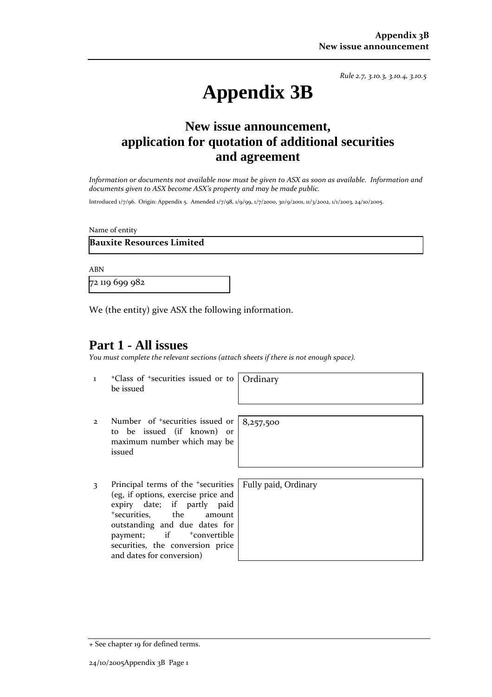*Rule 2.7, 3.10.3, 3.10.4, 3.10.5*

# **Appendix 3B**

# **New issue announcement, application for quotation of additional securities and agreement**

Information or documents not available now must be given to ASX as soon as available. Information and *documents given to ASX become ASX's property and may be made public.*

Introduced 1/7/96. Origin: Appendix 5. Amended 1/7/98, 1/9/99, 1/7/2000, 30/9/2001, 11/3/2002, 1/1/2003, 24/10/2005.

Name of entity

**Bauxite Resources Limited**

ABN

72 119 699 982

We (the entity) give ASX the following information.

#### **Part 1 - All issues**

*You must complete the relevant sections (attach sheets if there is not enough space).*

1 +Class of +securities issued or to be issued

**Ordinary** 

8,257,500

- 2 Number of <sup>+</sup>securities issued or to be issued (if known) or maximum number which may be issued
- 3 Principal terms of the <sup>+</sup>securities (eg, if options, exercise price and expiry date; if partly paid <sup>+</sup>securities, the amount outstanding and due dates for payment; if  $+$ convertible securities, the conversion price and dates for conversion)

Fully paid, Ordinary

+ See chapter 19 for defined terms.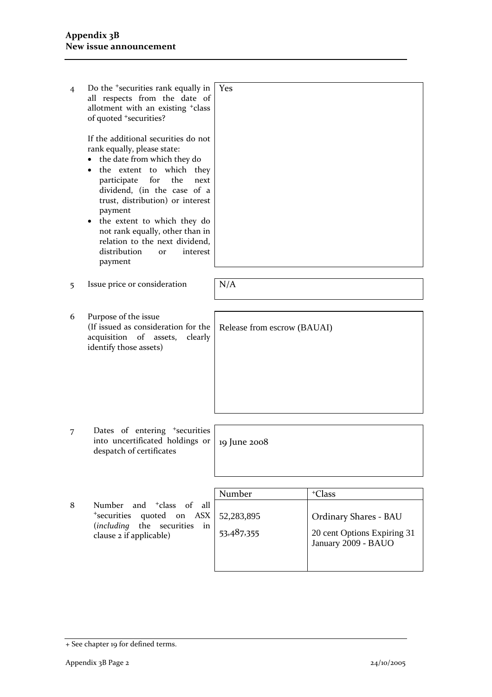| $\overline{4}$ | Do the <sup>+</sup> securities rank equally in<br>all respects from the date of<br>allotment with an existing <sup>+</sup> class<br>of quoted <sup>+</sup> securities?<br>If the additional securities do not<br>rank equally, please state:<br>the date from which they do<br>the extent to which they<br>participate<br>for<br>the<br>next<br>dividend, (in the case of a<br>trust, distribution) or interest<br>payment<br>the extent to which they do<br>not rank equally, other than in<br>relation to the next dividend,<br>distribution<br>interest<br><b>or</b><br>payment | Yes                         |                                                    |
|----------------|------------------------------------------------------------------------------------------------------------------------------------------------------------------------------------------------------------------------------------------------------------------------------------------------------------------------------------------------------------------------------------------------------------------------------------------------------------------------------------------------------------------------------------------------------------------------------------|-----------------------------|----------------------------------------------------|
| 5              | Issue price or consideration                                                                                                                                                                                                                                                                                                                                                                                                                                                                                                                                                       | N/A                         |                                                    |
| 6              | Purpose of the issue<br>(If issued as consideration for the<br>acquisition of assets,<br>clearly<br>identify those assets)                                                                                                                                                                                                                                                                                                                                                                                                                                                         | Release from escrow (BAUAI) |                                                    |
| 7              | Dates of entering <sup>+</sup> securities<br>into uncertificated holdings or<br>despatch of certificates                                                                                                                                                                                                                                                                                                                                                                                                                                                                           | 19 June 2008                |                                                    |
| 8              | <sup>+</sup> class<br>of<br>Number<br>and<br>all<br><sup>+</sup> securities<br>quoted<br><b>ASX</b><br>on<br>the<br>including)<br>securities<br>in                                                                                                                                                                                                                                                                                                                                                                                                                                 | Number<br>52,283,895        | <sup>+</sup> Class<br><b>Ordinary Shares - BAU</b> |
|                | clause 2 if applicable)                                                                                                                                                                                                                                                                                                                                                                                                                                                                                                                                                            | 53,487,355                  | 20 cent Options Expiring 31                        |

January 2009 - BAUO

<sup>+</sup> See chapter 19 for defined terms.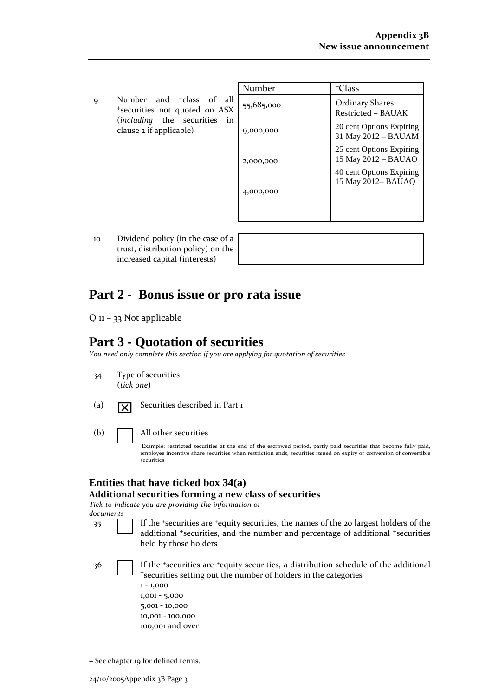| $\mathbf Q$ | Number and <sup>+</sup> class of all |  |  |
|-------------|--------------------------------------|--|--|
|             | *securities not quoted on ASX        |  |  |
|             | $(including$ the securities in       |  |  |
|             | clause 2 if applicable)              |  |  |

| Number     | <sup>+</sup> Class                              |
|------------|-------------------------------------------------|
| 55,685,000 | <b>Ordinary Shares</b><br>Restricted - BAUAK    |
| 9,000,000  | 20 cent Options Expiring<br>31 May 2012 – BAUAM |
| 2,000,000  | 25 cent Options Expiring<br>15 May 2012 - BAUAO |
|            | 40 cent Options Expiring<br>15 May 2012– BAUAQ  |
| 4,000,000  |                                                 |
|            |                                                 |

10 Dividend policy (in the case of a trust, distribution policy) on the increased capital (interests)

### **Part 2 - Bonus issue or pro rata issue**

Q 11 – 33 Not applicable

## **Part 3 - Quotation of securities**

*You need only complete this section if you are applying for quotation of securities*

- 34 Type of securities (*tick one*)
- (a)  $\boxed{\mathbf{y}}$  Securities described in Part 1
- (b) All other securities

Example: restricted securities at the end of the escrowed period, partly paid securities that become fully paid, employee incentive share securities when restriction ends, securities issued on expiry or conversion of convertible securities

#### **Entities that have ticked box 34(a)**

**Additional securities forming a new class of securities**

*Tick to indicate you are providing the information or documents*

35 If the <sup>+</sup>securities are <sup>+</sup>equity securities, the names of the 20 largest holders of the additional <sup>+</sup>securities, and the number and percentage of additional <sup>+</sup>securities held by those holders

36 If the +securities are +equity securities, a distribution schedule of the additional <sup>+</sup>securities setting out the number of holders in the categories

| $1 - 1,000$      |
|------------------|
| $1,001 - 5,000$  |
| $5,001 - 10,000$ |
| 10,001 - 100,000 |
| 100,001 and over |

<sup>+</sup> See chapter 19 for defined terms.